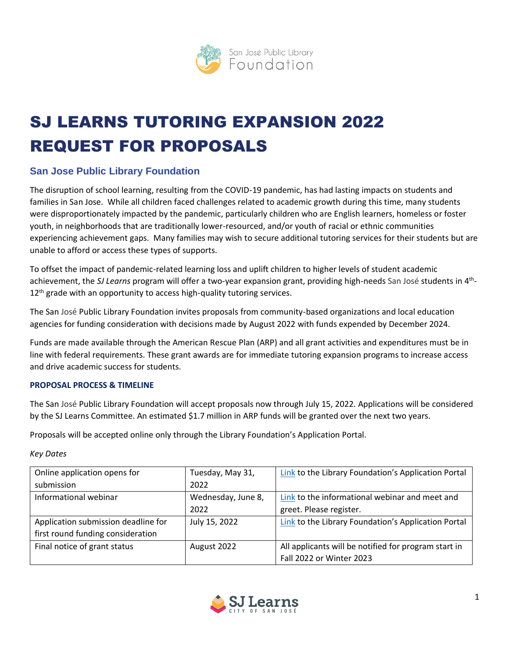

# SJ LEARNS TUTORING EXPANSION 2022 REQUEST FOR PROPOSALS

# **San Jose Public Library Foundation**

The disruption of school learning, resulting from the COVID-19 pandemic, has had lasting impacts on students and families in San Jose. While all children faced challenges related to academic growth during this time, many students were disproportionately impacted by the pandemic, particularly children who are English learners, homeless or foster youth, in neighborhoods that are traditionally lower-resourced, and/or youth of racial or ethnic communities experiencing achievement gaps. Many families may wish to secure additional tutoring services for their students but are unable to afford or access these types of supports.

To offset the impact of pandemic-related learning loss and uplift children to higher levels of student academic achievement, the SJ Learns program will offer a two-year expansion grant, providing high-needs San José students in 4<sup>th</sup>-12<sup>th</sup> grade with an opportunity to access high-quality tutoring services.

The San José Public Library Foundation invites proposals from community-based organizations and local education agencies for funding consideration with decisions made by August 2022 with funds expended by December 2024.

Funds are made available through the American Rescue Plan (ARP) and all grant activities and expenditures must be in line with federal requirements. These grant awards are for immediate tutoring expansion programs to increase access and drive academic success for students.

# **PROPOSAL PROCESS & TIMELINE**

The San José Public Library Foundation will accept proposals now through July 15, 2022. Applications will be considered by the SJ Learns Committee. An estimated \$1.7 million in ARP funds will be granted over the next two years.

Proposals will be accepted online only through the Library Foundation's Application Portal.

# *Key Dates*

| Online application opens for        | Tuesday, May 31,   | Link to the Library Foundation's Application Portal  |
|-------------------------------------|--------------------|------------------------------------------------------|
| submission                          | 2022               |                                                      |
| Informational webinar               | Wednesday, June 8, | Link to the informational webinar and meet and       |
|                                     | 2022               | greet. Please register.                              |
| Application submission deadline for | July 15, 2022      | Link to the Library Foundation's Application Portal  |
| first round funding consideration   |                    |                                                      |
| Final notice of grant status        | August 2022        | All applicants will be notified for program start in |
|                                     |                    | Fall 2022 or Winter 2023                             |

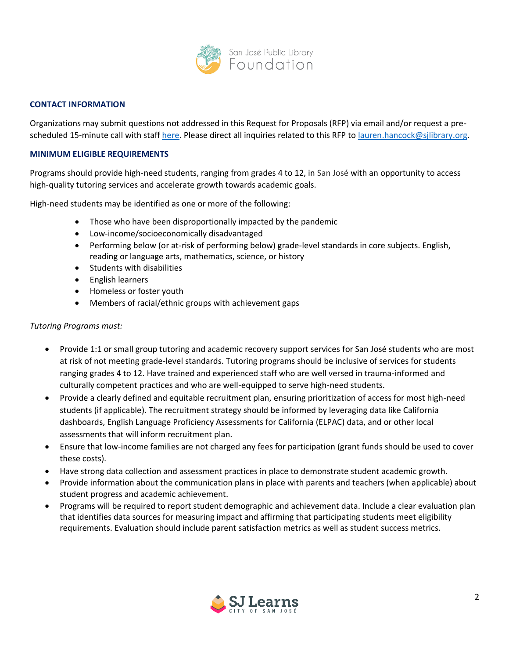

#### **CONTACT INFORMATION**

Organizations may submit questions not addressed in this Request for Proposals (RFP) via email and/or request a prescheduled 15-minute call with staff [here.](https://calendly.com/lauren-thomas-hancock/tutoring-grant-sj-learns) Please direct all inquiries related to this RFP to [lauren.hancock@sjlibrary.org.](mailto:lauren.hancock@sjlibrary.org)

#### **MINIMUM ELIGIBLE REQUIREMENTS**

Programs should provide high-need students, ranging from grades 4 to 12, in San José with an opportunity to access high-quality tutoring services and accelerate growth towards academic goals.

High-need students may be identified as one or more of the following:

- Those who have been disproportionally impacted by the pandemic
- Low-income/socioeconomically disadvantaged
- Performing below (or at-risk of performing below) grade-level standards in core subjects. English, reading or language arts, mathematics, science, or history
- Students with disabilities
- English learners
- Homeless or foster youth
- Members of racial/ethnic groups with achievement gaps

#### *Tutoring Programs must:*

- Provide 1:1 or small group tutoring and academic recovery support services for San José students who are most at risk of not meeting grade-level standards. Tutoring programs should be inclusive of services for students ranging grades 4 to 12. Have trained and experienced staff who are well versed in trauma-informed and culturally competent practices and who are well-equipped to serve high-need students.
- Provide a clearly defined and equitable recruitment plan, ensuring prioritization of access for most high-need students (if applicable). The recruitment strategy should be informed by leveraging data like California dashboards, English Language Proficiency Assessments for California (ELPAC) data, and or other local assessments that will inform recruitment plan.
- Ensure that low-income families are not charged any fees for participation (grant funds should be used to cover these costs).
- Have strong data collection and assessment practices in place to demonstrate student academic growth.
- Provide information about the communication plans in place with parents and teachers (when applicable) about student progress and academic achievement.
- Programs will be required to report student demographic and achievement data. Include a clear evaluation plan that identifies data sources for measuring impact and affirming that participating students meet eligibility requirements. Evaluation should include parent satisfaction metrics as well as student success metrics.